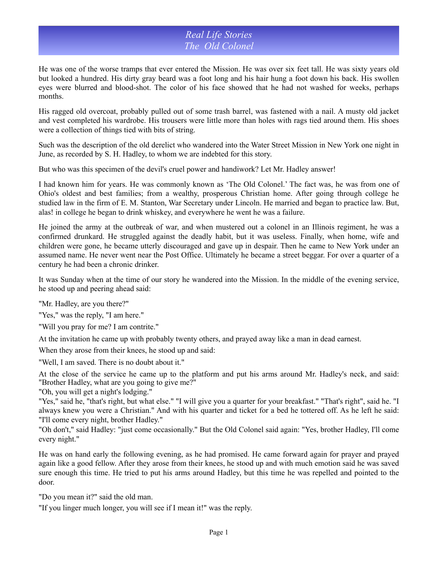## *Real Life Stories The Old Colonel*

He was one of the worse tramps that ever entered the Mission. He was over six feet tall. He was sixty years old but looked a hundred. His dirty gray beard was a foot long and his hair hung a foot down his back. His swollen eyes were blurred and blood-shot. The color of his face showed that he had not washed for weeks, perhaps months.

His ragged old overcoat, probably pulled out of some trash barrel, was fastened with a nail. A musty old jacket and vest completed his wardrobe. His trousers were little more than holes with rags tied around them. His shoes were a collection of things tied with bits of string.

Such was the description of the old derelict who wandered into the Water Street Mission in New York one night in June, as recorded by S. H. Hadley, to whom we are indebted for this story.

But who was this specimen of the devil's cruel power and handiwork? Let Mr. Hadley answer!

I had known him for years. He was commonly known as 'The Old Colonel.' The fact was, he was from one of Ohio's oldest and best families; from a wealthy, prosperous Christian home. After going through college he studied law in the firm of E. M. Stanton, War Secretary under Lincoln. He married and began to practice law. But, alas! in college he began to drink whiskey, and everywhere he went he was a failure.

He joined the army at the outbreak of war, and when mustered out a colonel in an Illinois regiment, he was a confirmed drunkard. He struggled against the deadly habit, but it was useless. Finally, when home, wife and children were gone, he became utterly discouraged and gave up in despair. Then he came to New York under an assumed name. He never went near the Post Office. Ultimately he became a street beggar. For over a quarter of a century he had been a chronic drinker.

It was Sunday when at the time of our story he wandered into the Mission. In the middle of the evening service, he stood up and peering ahead said:

"Mr. Hadley, are you there?"

"Yes," was the reply, "I am here."

"Will you pray for me? I am contrite."

At the invitation he came up with probably twenty others, and prayed away like a man in dead earnest.

When they arose from their knees, he stood up and said:

"Well, I am saved. There is no doubt about it."

At the close of the service he came up to the platform and put his arms around Mr. Hadley's neck, and said: "Brother Hadley, what are you going to give me?"

"Oh, you will get a night's lodging."

"Yes," said he, "that's right, but what else." "I will give you a quarter for your breakfast." "That's right", said he. "I always knew you were a Christian." And with his quarter and ticket for a bed he tottered off. As he left he said: "I'll come every night, brother Hadley."

"Oh don't," said Hadley: "just come occasionally." But the Old Colonel said again: "Yes, brother Hadley, I'll come every night."

He was on hand early the following evening, as he had promised. He came forward again for prayer and prayed again like a good fellow. After they arose from their knees, he stood up and with much emotion said he was saved sure enough this time. He tried to put his arms around Hadley, but this time he was repelled and pointed to the door.

"Do you mean it?" said the old man.

"If you linger much longer, you will see if I mean it!" was the reply.